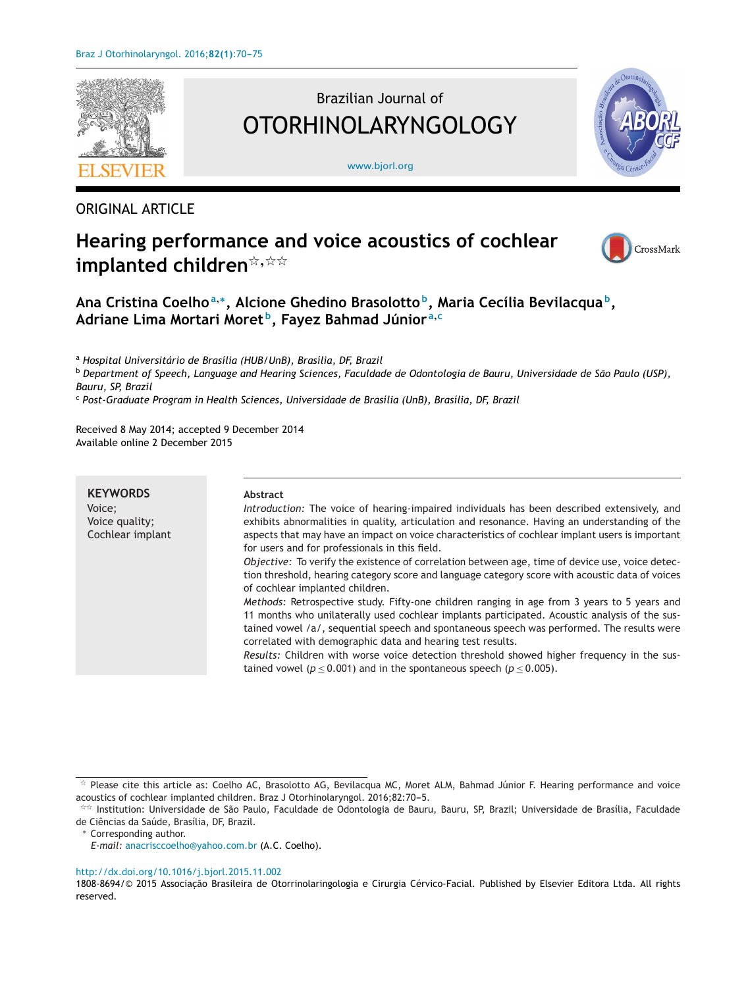

# Brazilian Journal of OTORHINOLARYNGOLOGY

[www.bjorl.org](http://www.bjorl.org)



## ORIGINAL ARTICLE

# **Hearing performance and voice acoustics of cochlear**  $i$ **mplanted children** $^{\not\approx, \, \dot{\Join} \, \dot{\Join}}$



## **Ana Cristina Coelho<sup>a</sup>,∗, Alcione Ghedino Brasolotto b, Maria Cecília Bevilacqua b, Adriane Lima Mortari Moret b, Fayez Bahmad Júnior <sup>a</sup>,<sup>c</sup>**

<sup>a</sup> *Hospital Universitário de Brasília (HUB/UnB), Brasília, DF, Brazil*

<sup>b</sup> Department of Speech, Language and Hearing Sciences, Faculdade de Odontologia de Bauru, Universidade de São Paulo (USP), *Bauru, SP, Brazil*

<sup>c</sup> *Post-Graduate Program in Health Sciences, Universidade de Brasília (UnB), Brasília, DF, Brazil*

Received 8 May 2014; accepted 9 December 2014 Available online 2 December 2015

| <b>KEYWORDS</b><br>Voice: | Abstract<br>Introduction: The voice of hearing-impaired individuals has been described extensively, and                                                                                                                                                                                                                                                  |
|---------------------------|----------------------------------------------------------------------------------------------------------------------------------------------------------------------------------------------------------------------------------------------------------------------------------------------------------------------------------------------------------|
| Voice quality;            | exhibits abnormalities in quality, articulation and resonance. Having an understanding of the                                                                                                                                                                                                                                                            |
| Cochlear implant          | aspects that may have an impact on voice characteristics of cochlear implant users is important<br>for users and for professionals in this field.                                                                                                                                                                                                        |
|                           | Objective: To verify the existence of correlation between age, time of device use, voice detec-<br>tion threshold, hearing category score and language category score with acoustic data of voices<br>of cochlear implanted children.                                                                                                                    |
|                           | Methods: Retrospective study. Fifty-one children ranging in age from 3 years to 5 years and<br>11 months who unilaterally used cochlear implants participated. Acoustic analysis of the sus-<br>tained vowel /a/, sequential speech and spontaneous speech was performed. The results were<br>correlated with demographic data and hearing test results. |
|                           | Results: Children with worse voice detection threshold showed higher frequency in the sus-<br>tained vowel ( $p < 0.001$ ) and in the spontaneous speech ( $p < 0.005$ ).                                                                                                                                                                                |

#### [http://dx.doi.org/10.1016/j.bjorl.2015.11.002](dx.doi.org/10.1016/j.bjorl.2015.11.002)

<sup>-</sup> Please cite this article as: Coelho AC, Brasolotto AG, Bevilacqua MC, Moret ALM, Bahmad Júnior F. Hearing performance and voice acoustics of cochlear implanted children. Braz J Otorhinolaryngol. 2016;82:70-5.

<sup>-</sup>- Institution: Universidade de São Paulo, Faculdade de Odontologia de Bauru, Bauru, SP, Brazil; Universidade de Brasília, Faculdade de Ciências da Saúde, Brasília, DF, Brazil.

Corresponding author.

*E-mail:* [anacrisccoelho@yahoo.com.br](mailto:anacrisccoelho@yahoo.com.br) (A.C. Coelho).

<sup>1808-8694/© 2015</sup> Associação Brasileira de Otorrinolaringologia e Cirurgia Cérvico-Facial. Published by Elsevier Editora Ltda. All rights reserved.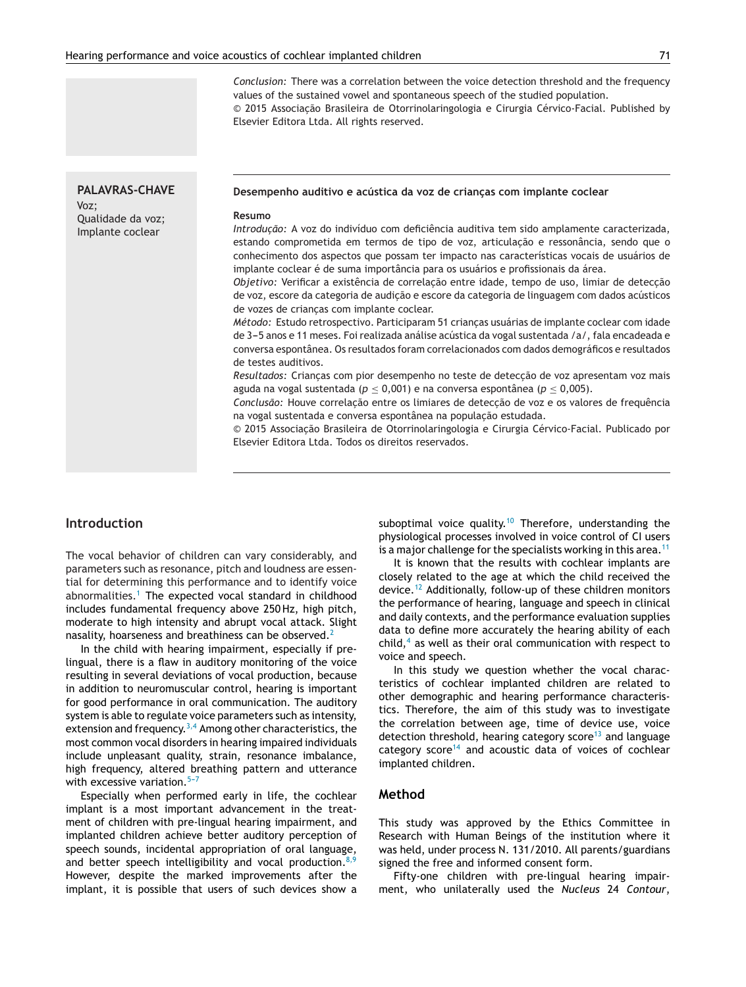*Conclusion:* There was a correlation between the voice detection threshold and the frequency values of the sustained vowel and spontaneous speech of the studied population. © 2015 Associação Brasileira de Otorrinolaringologia e Cirurgia Cérvico-Facial. Published by Elsevier Editora Ltda. All rights reserved.

**PALAVRAS-CHAVE** Voz; Qualidade da voz; Implante coclear

#### **Desempenho auditivo e acústica da voz de crianc¸as com implante coclear**

#### **Resumo**

*Introdução:* A voz do indivíduo com deficiência auditiva tem sido amplamente caracterizada, estando comprometida em termos de tipo de voz, articulação e ressonância, sendo que o conhecimento dos aspectos que possam ter impacto nas características vocais de usuários de implante coclear é de suma importância para os usuários e profissionais da área.

*Objetivo: Verificar a existência de correlação entre idade, tempo de uso, limiar de detecção* de voz, escore da categoria de audição e escore da categoria de linguagem com dados acústicos de vozes de criancas com implante coclear.

*Método:* Estudo retrospectivo. Participaram 51 criancas usuárias de implante coclear com idade de 3-5 anos e 11 meses. Foi realizada análise acústica da vogal sustentada /a/, fala encadeada e conversa espontânea. Os resultados foram correlacionados com dados demográficos e resultados de testes auditivos.

Resultados: Crianças com pior desempenho no teste de detecção de voz apresentam voz mais aguda na vogal sustentada (*p* ≤ 0,001) e na conversa espontânea (*p* ≤ 0,005).

*Conclusão:* Houve correlação entre os limiares de detecção de voz e os valores de frequência na vogal sustentada e conversa espontânea na população estudada.

© 2015 Associação Brasileira de Otorrinolaringologia e Cirurgia Cérvico-Facial. Publicado por Elsevier Editora Ltda. Todos os direitos reservados.

## **Introduction**

The vocal behavior of children can vary considerably, and parameters such as resonance, pitch and loudness are essential for determining this performance and to identify voice abnormalities.<sup>[1](#page-4-0)</sup> The expected vocal standard in childhood includes fundamental frequency above 250 Hz, high pitch, moderate to high intensity and abrupt vocal attack. Slight nasality, hoarseness and breathiness can be observed.<sup>[2](#page-5-0)</sup>

In the child with hearing impairment, especially if prelingual, there is a flaw in auditory monitoring of the voice resulting in several deviations of vocal production, because in addition to neuromuscular control, hearing is important for good performance in oral communication. The auditory system is able to regulate voice parameters such as intensity, extension and frequency. $3,4$  Among other characteristics, the most common vocal disorders in hearing impaired individuals include unpleasant quality, strain, resonance imbalance, high frequency, altered breathing pattern and utterance with excessive variation. $5-7$ 

Especially when performed early in life, the cochlear implant is a most important advancement in the treatment of children with pre-lingual hearing impairment, and implanted children achieve better auditory perception of speech sounds, incidental appropriation of oral language, and better speech intelligibility and vocal production. $8,9$ However, despite the marked improvements after the implant, it is possible that users of such devices show a suboptimal voice quality.<sup>[10](#page-5-0)</sup> Therefore, understanding the physiological processes involved in voice control of CI users is a major challenge for the specialists working in this area.<sup>[11](#page-5-0)</sup>

It is known that the results with cochlear implants are closely related to the age at which the child received the device.[12](#page-5-0) Additionally, follow-up of these children monitors the performance of hearing, language and speech in clinical and daily contexts, and the performance evaluation supplies data to define more accurately the hearing ability of each child, $4$  as well as their oral communication with respect to voice and speech.

In this study we question whether the vocal characteristics of cochlear implanted children are related to other demographic and hearing performance characteristics. Therefore, the aim of this study was to investigate the correlation between age, time of device use, voice detection threshold, hearing category score<sup>[13](#page-5-0)</sup> and language category  $score^{14}$  $score^{14}$  $score^{14}$  and acoustic data of voices of cochlear implanted children.

#### **Method**

This study was approved by the Ethics Committee in Research with Human Beings of the institution where it was held, under process N. 131/2010. All parents/guardians signed the free and informed consent form.

Fifty-one children with pre-lingual hearing impairment, who unilaterally used the *Nucleus* 24 *Contour*,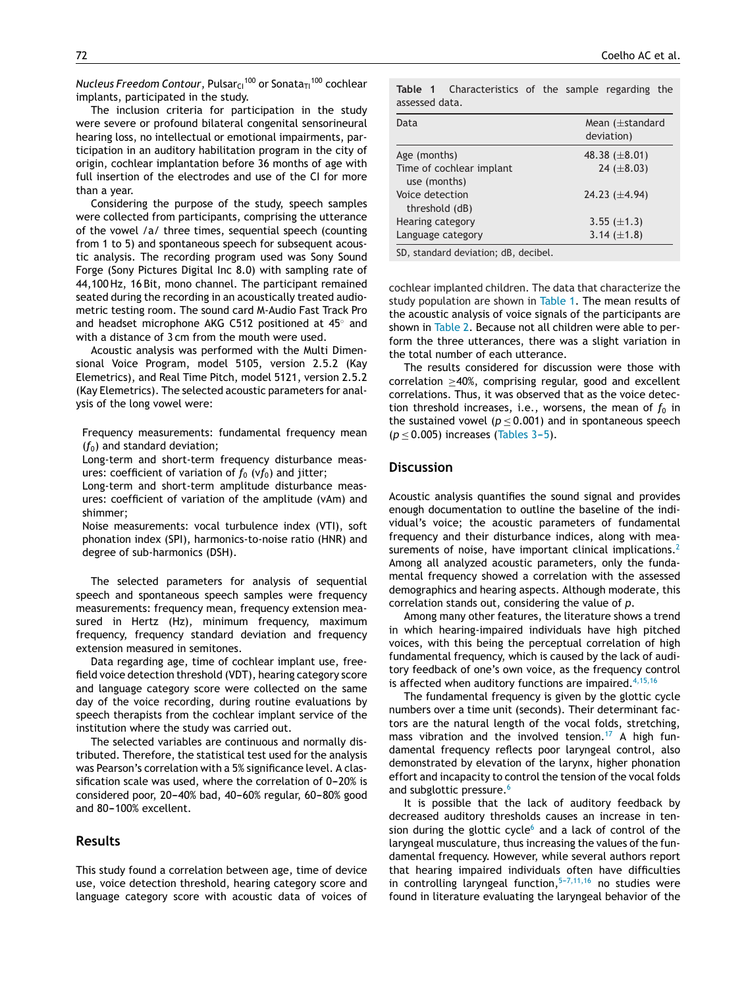*Nucleus Freedom Contour*, Pulsar<sub>C1</sub><sup>100</sup> or Sonata<sub>T1</sub><sup>100</sup> cochlear implants, participated in the study.

The inclusion criteria for participation in the study were severe or profound bilateral congenital sensorineural hearing loss, no intellectual or emotional impairments, participation in an auditory habilitation program in the city of origin, cochlear implantation before 36 months of age with full insertion of the electrodes and use of the CI for more than a year.

Considering the purpose of the study, speech samples were collected from participants, comprising the utterance of the vowel /a/ three times, sequential speech (counting from 1 to 5) and spontaneous speech for subsequent acoustic analysis. The recording program used was Sony Sound Forge (Sony Pictures Digital Inc 8.0) with sampling rate of 44,100 Hz, 16 Bit, mono channel. The participant remained seated during the recording in an acoustically treated audiometric testing room. The sound card M-Audio Fast Track Pro and headset microphone AKG C512 positioned at 45◦ and with a distance of 3 cm from the mouth were used.

Acoustic analysis was performed with the Multi Dimensional Voice Program, model 5105, version 2.5.2 (Kay Elemetrics), and Real Time Pitch, model 5121, version 2.5.2 (Kay Elemetrics). The selected acoustic parameters for analysis of the long vowel were:

Frequency measurements: fundamental frequency mean  $(f_0)$  and standard deviation;

Long-term and short-term frequency disturbance measures: coefficient of variation of  $f_0$  (v $f_0$ ) and jitter;

Long-term and short-term amplitude disturbance measures: coefficient of variation of the amplitude (vAm) and shimmer;

Noise measurements: vocal turbulence index (VTI), soft phonation index (SPI), harmonics-to-noise ratio (HNR) and degree of sub-harmonics (DSH).

The selected parameters for analysis of sequential speech and spontaneous speech samples were frequency measurements: frequency mean, frequency extension measured in Hertz (Hz), minimum frequency, maximum frequency, frequency standard deviation and frequency extension measured in semitones.

Data regarding age, time of cochlear implant use, freefield voice detection threshold (VDT), hearing category score and language category score were collected on the same day of the voice recording, during routine evaluations by speech therapists from the cochlear implant service of the institution where the study was carried out.

The selected variables are continuous and normally distributed. Therefore, the statistical test used for the analysis was Pearson's correlation with a 5% significance level. A classification scale was used, where the correlation of  $0-20%$  is considered poor, 20–40% bad, 40–60% regular, 60–80% good and 80-100% excellent.

### **Results**

This study found a correlation between age, time of device use, voice detection threshold, hearing category score and language category score with acoustic data of voices of **Table 1** Characteristics of the sample regarding the assessed data.

| Data                                     | Mean $(\pm$ standard<br>deviation) |
|------------------------------------------|------------------------------------|
| Age (months)                             | 48.38 $(\pm 8.01)$                 |
| Time of cochlear implant<br>use (months) | 24 $(\pm 8.03)$                    |
| Voice detection<br>threshold (dB)        | 24.23 $(\pm 4.94)$                 |
| Hearing category                         | 3.55 $(\pm 1.3)$                   |
| Language category                        | 3.14 $(\pm 1.8)$                   |

SD, standard deviation; dB, decibel.

cochlear implanted children. The data that characterize the study population are shown in Table 1. The mean results of the acoustic analysis of voice signals of the participants are shown in [Table](#page-3-0) 2. Because not all children were able to perform the three utterances, there was a slight variation in the total number of each utterance.

The results considered for discussion were those with correlation ≥40%, comprising regular, good and excellent correlations. Thus, it was observed that as the voice detection threshold increases, i.e., worsens, the mean of  $f_0$  in the sustained vowel ( $p \le 0.001$ ) and in spontaneous speech  $(p \leq 0.005)$  increases [\(Tables](#page-3-0) 3-5).

#### **Discussion**

Acoustic analysis quantifies the sound signal and provides enough documentation to outline the baseline of the individual's voice; the acoustic parameters of fundamental frequency and their disturbance indices, along with mea-surements of noise, have important clinical implications.<sup>[2](#page-5-0)</sup> Among all analyzed acoustic parameters, only the fundamental frequency showed a correlation with the assessed demographics and hearing aspects. Although moderate, this correlation stands out, considering the value of *p*.

Among many other features, the literature shows a trend in which hearing-impaired individuals have high pitched voices, with this being the perceptual correlation of high fundamental frequency, which is caused by the lack of auditory feedback of one's own voice, as the frequency control is affected when auditory functions are impaired. $4,15,16$ 

The fundamental frequency is given by the glottic cycle numbers over a time unit (seconds). Their determinant factors are the natural length of the vocal folds, stretching, mass vibration and the involved tension.<sup>[17](#page-5-0)</sup> A high fundamental frequency reflects poor laryngeal control, also demonstrated by elevation of the larynx, higher phonation effort and incapacity to control the tension of the vocal folds and subglottic pressure.<sup>[6](#page-5-0)</sup>

It is possible that the lack of auditory feedback by decreased auditory thresholds causes an increase in tension during the glottic cycle $6$  and a lack of control of the laryngeal musculature, thus increasing the values of the fundamental frequency. However, while several authors report that hearing impaired individuals often have difficulties in controlling laryngeal function,  $5-7,11,16$  no studies were found in literature evaluating the laryngeal behavior of the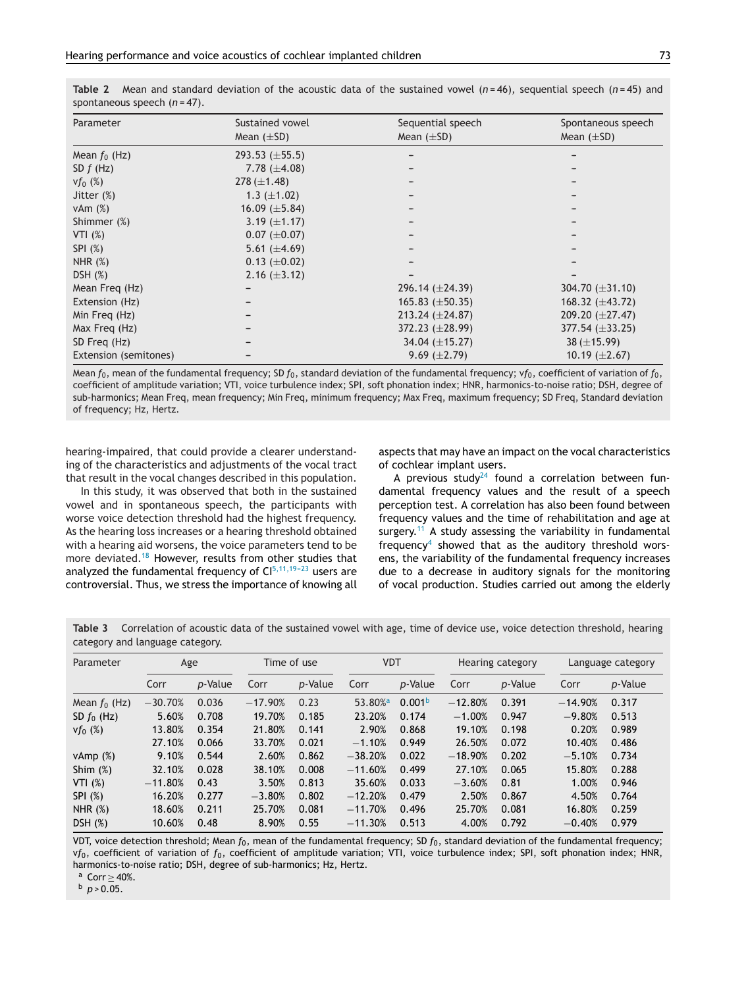| Parameter             | Sustained vowel     | Sequential speech    | Spontaneous speech   |
|-----------------------|---------------------|----------------------|----------------------|
|                       | Mean $(\pm SD)$     | Mean $(\pm SD)$      | Mean $(\pm SD)$      |
| Mean $f_0$ (Hz)       | 293.53 $(\pm 55.5)$ |                      |                      |
| SD $f$ (Hz)           | 7.78 $(\pm 4.08)$   |                      |                      |
| $Vf_0$ (%)            | $278 (\pm 1.48)$    |                      |                      |
| Jitter $(\%)$         | 1.3 $(\pm 1.02)$    |                      |                      |
| vAm $(%)$             | 16.09 $(\pm 5.84)$  |                      |                      |
| Shimmer (%)           | 3.19 $(\pm 1.17)$   |                      |                      |
| VTI $(%)$             | $0.07~(\pm 0.07)$   |                      |                      |
| SPI (%)               | 5.61 $(\pm 4.69)$   |                      |                      |
| NHR $(%)$             | $0.13 \ (\pm 0.02)$ |                      |                      |
| DSH $(%)$             | 2.16 $(\pm 3.12)$   |                      |                      |
| Mean Freg (Hz)        |                     | 296.14 $(\pm 24.39)$ | 304.70 $(\pm 31.10)$ |
| Extension (Hz)        |                     | 165.83 $(\pm 50.35)$ | 168.32 $(\pm 43.72)$ |
| Min Freq (Hz)         |                     | 213.24 $(\pm 24.87)$ | 209.20 $(\pm 27.47)$ |
| Max Freg (Hz)         |                     | 372.23 $(\pm 28.99)$ | 377.54 $(\pm 33.25)$ |
| SD Freg (Hz)          |                     | 34.04 $(\pm 15.27)$  | 38 $(\pm 15.99)$     |
| Extension (semitones) |                     | $9.69 \ (\pm 2.79)$  | 10.19 $(\pm 2.67)$   |

<span id="page-3-0"></span>**Table 2** Mean and standard deviation of the acoustic data of the sustained vowel (*n* = 46), sequential speech (*n* = 45) and spontaneous speech (*n* = 47).

Mean  $f_0$ , mean of the fundamental frequency; SD  $f_0$ , standard deviation of the fundamental frequency;  $v f_0$ , coefficient of variation of  $f_0$ , coefficient of amplitude variation; VTI, voice turbulence index; SPI, soft phonation index; HNR, harmonics-to-noise ratio; DSH, degree of sub-harmonics; Mean Freq, mean frequency; Min Freq, minimum frequency; Max Freq, maximum frequency; SD Freq, Standard deviation of frequency; Hz, Hertz.

hearing-impaired, that could provide a clearer understanding of the characteristics and adjustments of the vocal tract that result in the vocal changes described in this population.

In this study, it was observed that both in the sustained vowel and in spontaneous speech, the participants with worse voice detection threshold had the highest frequency. As the hearing loss increases or a hearing threshold obtained with a hearing aid worsens, the voice parameters tend to be more deviated.[18](#page-5-0) However, results from other studies that analyzed the fundamental frequency of  $Cl<sup>5,11,19-23</sup>$  users are controversial. Thus, we stress the importance of knowing all aspects that may have an impact on the vocal characteristics of cochlear implant users.

A previous study<sup>[24](#page-5-0)</sup> found a correlation between fundamental frequency values and the result of a speech perception test. A correlation has also been found between frequency values and the time of rehabilitation and age at surgery.<sup>[11](#page-5-0)</sup> A study assessing the variability in fundamental frequency<sup>[4](#page-5-0)</sup> showed that as the auditory threshold worsens, the variability of the fundamental frequency increases due to a decrease in auditory signals for the monitoring of vocal production. Studies carried out among the elderly

**Table 3** Correlation of acoustic data of the sustained vowel with age, time of device use, voice detection threshold, hearing category and language category.

| Parameter       | Age       |         | Time of use |         | <b>VDT</b>          |                    | Hearing category |                 | Language category |         |
|-----------------|-----------|---------|-------------|---------|---------------------|--------------------|------------------|-----------------|-------------------|---------|
|                 | Corr      | p-Value | Corr        | p-Value | Corr                | p-Value            | Corr             | <i>p</i> -Value | Corr              | p-Value |
| Mean $f_0$ (Hz) | $-30.70%$ | 0.036   | $-17.90%$   | 0.23    | 53.80 <sup>%a</sup> | 0.001 <sup>b</sup> | $-12.80%$        | 0.391           | $-14.90%$         | 0.317   |
| SD $f_0$ (Hz)   | 5.60%     | 0.708   | 19.70%      | 0.185   | 23.20%              | 0.174              | $-1.00%$         | 0.947           | $-9.80%$          | 0.513   |
| $v f_0$ (%)     | 13.80%    | 0.354   | 21.80%      | 0.141   | 2.90%               | 0.868              | 19.10%           | 0.198           | 0.20%             | 0.989   |
|                 | 27.10%    | 0.066   | 33.70%      | 0.021   | $-1.10%$            | 0.949              | 26.50%           | 0.072           | 10.40%            | 0.486   |
| vAmp $(%)$      | 9.10%     | 0.544   | 2.60%       | 0.862   | $-38.20%$           | 0.022              | $-18.90%$        | 0.202           | $-5.10%$          | 0.734   |
| Shim $(\%)$     | 32.10%    | 0.028   | 38.10%      | 0.008   | $-11.60%$           | 0.499              | 27.10%           | 0.065           | 15.80%            | 0.288   |
| VTI $(%)$       | $-11.80%$ | 0.43    | 3.50%       | 0.813   | 35.60%              | 0.033              | $-3.60%$         | 0.81            | 1.00%             | 0.946   |
| SPI (%)         | 16.20%    | 0.277   | $-3.80%$    | 0.802   | $-12.20%$           | 0.479              | 2.50%            | 0.867           | 4.50%             | 0.764   |
| NHR $(%)$       | 18.60%    | 0.211   | 25.70%      | 0.081   | $-11.70%$           | 0.496              | 25.70%           | 0.081           | 16.80%            | 0.259   |
| DSH (%)         | 10.60%    | 0.48    | 8.90%       | 0.55    | $-11.30%$           | 0.513              | 4.00%            | 0.792           | $-0.40%$          | 0.979   |

VDT, voice detection threshold; Mean *f*0, mean of the fundamental frequency; SD *f*0, standard deviation of the fundamental frequency; v*f*0, coefficient of variation of *f*0, coefficient of amplitude variation; VTI, voice turbulence index; SPI, soft phonation index; HNR, harmonics-to-noise ratio; DSH, degree of sub-harmonics; Hz, Hertz.

<sup>a</sup> Corr ≥ 40%.<br><sup>b</sup> *p* > 0.05.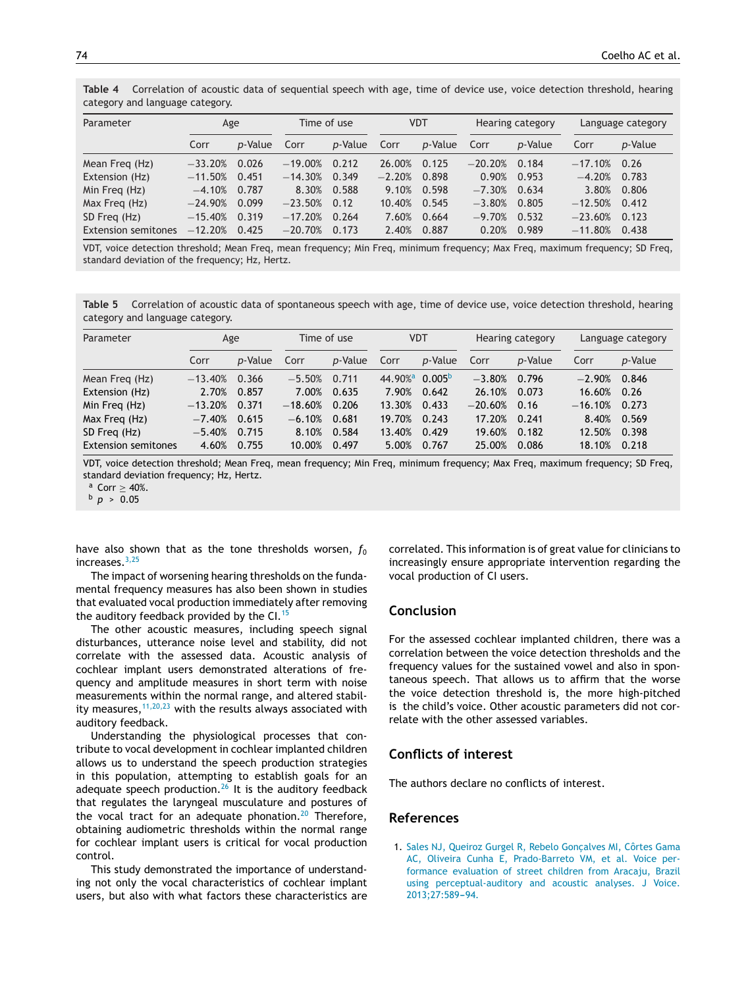<span id="page-4-0"></span>**Table 4** Correlation of acoustic data of sequential speech with age, time of device use, voice detection threshold, hearing category and language category.

| Parameter                  | Age       |                 | Time of use |         | VDT      |                 | Hearing category |                 | Language category |         |
|----------------------------|-----------|-----------------|-------------|---------|----------|-----------------|------------------|-----------------|-------------------|---------|
|                            | Corr      | <i>p</i> -Value | Corr        | p-Value | Corr     | <i>p</i> -Value | Corr             | <i>p</i> -Value | Corr              | p-Value |
| Mean Freg (Hz)             | $-33.20%$ | 0.026           | $-19.00%$   | 0.212   | 26.00%   | 0.125           | $-20.20%$        | 0.184           | $-17.10%$         | 0.26    |
| Extension (Hz)             | $-11.50%$ | 0.451           | $-14.30%$   | 0.349   | $-2.20%$ | 0.898           | 0.90%            | 0.953           | $-4.20%$          | 0.783   |
| Min Freg (Hz)              | $-4.10%$  | 0.787           | 8.30%       | 0.588   | 9.10%    | 0.598           | $-7.30%$         | 0.634           | 3.80%             | 0.806   |
| Max Freg (Hz)              | $-24.90%$ | 0.099           | $-23.50%$   | 0.12    | 10.40%   | 0.545           | $-3.80%$         | 0.805           | $-12.50%$         | 0.412   |
| SD Freg (Hz)               | $-15.40%$ | 0.319           | $-17.20%$   | 0.264   | 7.60%    | 0.664           | $-9.70%$         | 0.532           | $-23.60%$         | 0.123   |
| <b>Extension semitones</b> | $-12.20%$ | 0.425           | $-20.70%$   | 0.173   | 2.40%    | 0.887           | 0.20%            | 0.989           | $-11.80%$         | 0.438   |

VDT, voice detection threshold; Mean Freq, mean frequency; Min Freq, minimum frequency; Max Freq, maximum frequency; SD Freq, standard deviation of the frequency; Hz, Hertz.

**Table 5** Correlation of acoustic data of spontaneous speech with age, time of device use, voice detection threshold, hearing category and language category.

| Parameter                  | Age       |                 | Time of use |                 | VDT                                    |                 | Hearing category |                 | Language category |         |
|----------------------------|-----------|-----------------|-------------|-----------------|----------------------------------------|-----------------|------------------|-----------------|-------------------|---------|
|                            | Corr      | <i>p</i> -Value | Corr        | <i>p</i> -Value | Corr                                   | <i>p</i> -Value | Corr             | <i>p</i> -Value | Corr              | p-Value |
| Mean Freg (Hz)             | $-13.40%$ | 0.366           | $-5.50%$    | 0.711           | 44.90% <sup>a</sup> 0.005 <sup>b</sup> |                 | $-3.80%$         | 0.796           | $-2.90%$          | 0.846   |
| Extension (Hz)             | 2.70%     | 0.857           | 7.00%       | 0.635           | 7.90%                                  | 0.642           | 26.10%           | 0.073           | 16.60%            | 0.26    |
| Min Freg (Hz)              | $-13.20%$ | 0.371           | $-18.60%$   | 0.206           | 13.30%                                 | 0.433           | $-20.60%$        | 0.16            | $-16.10%$         | 0.273   |
| Max Freg (Hz)              | $-7.40%$  | 0.615           | $-6.10%$    | 0.681           | 19.70%                                 | 0.243           | 17.20%           | 0.241           | 8.40%             | 0.569   |
| SD Freg (Hz)               | $-5.40%$  | 0.715           | 8.10%       | 0.584           | 13.40%                                 | 0.429           | 19.60%           | 0.182           | 12.50%            | 0.398   |
| <b>Extension semitones</b> | 4.60%     | 0.755           | 10.00%      | 0.497           | 5.00%                                  | 0.767           | 25.00%           | 0.086           | 18.10%            | 0.218   |

VDT, voice detection threshold; Mean Freq, mean frequency; Min Freq, minimum frequency; Max Freq, maximum frequency; SD Freq, standard deviation frequency; Hz, Hertz.

a Corr ≥ 40%.<br><sup>b</sup> *p* > 0.05

have also shown that as the tone thresholds worsen,  $f_0$ increases.[3,25](#page-5-0)

The impact of worsening hearing thresholds on the fundamental frequency measures has also been shown in studies that evaluated vocal production immediately after removing the auditory feedback provided by the CI.<sup>[15](#page-5-0)</sup>

The other acoustic measures, including speech signal disturbances, utterance noise level and stability, did not correlate with the assessed data. Acoustic analysis of cochlear implant users demonstrated alterations of frequency and amplitude measures in short term with noise measurements within the normal range, and altered stability measures,  $11,20,23$  with the results always associated with auditory feedback.

Understanding the physiological processes that contribute to vocal development in cochlear implanted children allows us to understand the speech production strategies in this population, attempting to establish goals for an adequate speech production. $26$  It is the auditory feedback that regulates the laryngeal musculature and postures of the vocal tract for an adequate phonation.<sup>[20](#page-5-0)</sup> Therefore, obtaining audiometric thresholds within the normal range for cochlear implant users is critical for vocal production control.

This study demonstrated the importance of understanding not only the vocal characteristics of cochlear implant users, but also with what factors these characteristics are

correlated. This information is of great value for clinicians to increasingly ensure appropriate intervention regarding the vocal production of CI users.

#### **Conclusion**

For the assessed cochlear implanted children, there was a correlation between the voice detection thresholds and the frequency values for the sustained vowel and also in spontaneous speech. That allows us to affirm that the worse the voice detection threshold is, the more high-pitched is the child's voice. Other acoustic parameters did not correlate with the other assessed variables.

### **Conflicts of interest**

The authors declare no conflicts of interest.

#### **References**

1. [Sales](http://refhub.elsevier.com/S1808-8694(15)00224-4/sbref0135) [NJ,](http://refhub.elsevier.com/S1808-8694(15)00224-4/sbref0135) [Queiroz](http://refhub.elsevier.com/S1808-8694(15)00224-4/sbref0135) [Gurgel](http://refhub.elsevier.com/S1808-8694(15)00224-4/sbref0135) [R,](http://refhub.elsevier.com/S1808-8694(15)00224-4/sbref0135) [Rebelo](http://refhub.elsevier.com/S1808-8694(15)00224-4/sbref0135) Gonçalves [MI,](http://refhub.elsevier.com/S1808-8694(15)00224-4/sbref0135) [Côrtes](http://refhub.elsevier.com/S1808-8694(15)00224-4/sbref0135) [Gama](http://refhub.elsevier.com/S1808-8694(15)00224-4/sbref0135) [AC,](http://refhub.elsevier.com/S1808-8694(15)00224-4/sbref0135) [Oliveira](http://refhub.elsevier.com/S1808-8694(15)00224-4/sbref0135) [Cunha](http://refhub.elsevier.com/S1808-8694(15)00224-4/sbref0135) [E,](http://refhub.elsevier.com/S1808-8694(15)00224-4/sbref0135) [Prado-Barreto](http://refhub.elsevier.com/S1808-8694(15)00224-4/sbref0135) [VM,](http://refhub.elsevier.com/S1808-8694(15)00224-4/sbref0135) [et](http://refhub.elsevier.com/S1808-8694(15)00224-4/sbref0135) [al.](http://refhub.elsevier.com/S1808-8694(15)00224-4/sbref0135) [Voice](http://refhub.elsevier.com/S1808-8694(15)00224-4/sbref0135) [per](http://refhub.elsevier.com/S1808-8694(15)00224-4/sbref0135)[formance](http://refhub.elsevier.com/S1808-8694(15)00224-4/sbref0135) [evaluation](http://refhub.elsevier.com/S1808-8694(15)00224-4/sbref0135) [of](http://refhub.elsevier.com/S1808-8694(15)00224-4/sbref0135) [street](http://refhub.elsevier.com/S1808-8694(15)00224-4/sbref0135) [children](http://refhub.elsevier.com/S1808-8694(15)00224-4/sbref0135) [from](http://refhub.elsevier.com/S1808-8694(15)00224-4/sbref0135) [Aracaju,](http://refhub.elsevier.com/S1808-8694(15)00224-4/sbref0135) [Brazil](http://refhub.elsevier.com/S1808-8694(15)00224-4/sbref0135) [using](http://refhub.elsevier.com/S1808-8694(15)00224-4/sbref0135) [perceptual-auditory](http://refhub.elsevier.com/S1808-8694(15)00224-4/sbref0135) [and](http://refhub.elsevier.com/S1808-8694(15)00224-4/sbref0135) [acoustic](http://refhub.elsevier.com/S1808-8694(15)00224-4/sbref0135) [analyses.](http://refhub.elsevier.com/S1808-8694(15)00224-4/sbref0135) [J](http://refhub.elsevier.com/S1808-8694(15)00224-4/sbref0135) [Voice.](http://refhub.elsevier.com/S1808-8694(15)00224-4/sbref0135) 2013;27:589-94.